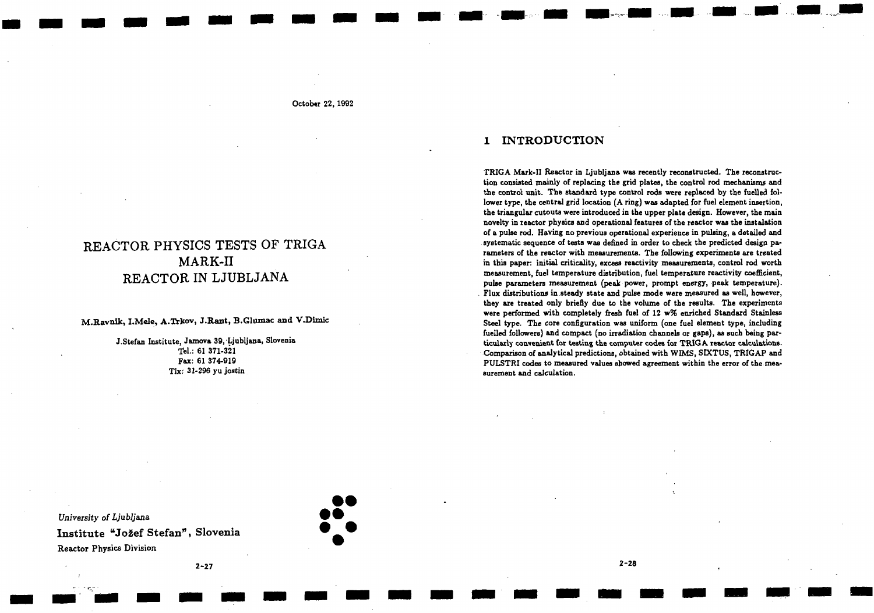**October 22, 1992** 

## REACTOR PHYSICS TESTS OF TRIGA MARK-II REACTOR IN LJUBLJANA

## **M.Ravnik, I.Mele, A.Trfcov, J.Kant, B.Glumac and V.Dimic**

**J.Stefan Institute, Jamova 39, Ljubljana, Slovenia Tel.: 61 371-321 Fax: 61 374-919 Tlx: 31-296 yu jostin** 

## **1 INTRODUCTION**

**TRIGA Mark-II Reactor in Ljubljana was recently reconstructed. The reconstruction consisted mainly of replacing the grid plates, the control rod mechanisms and the control unit. The standard type control rods were replaced by the fuelled follower type, the central grid location (A ring) was adapted for fuel element insertion, the triangular cutouts were introduced in the upper plate design. However, the main novelty in reactor physics and operational features of the reactor was the instalation of a pulse rod. Having no previous operational experience in pulsing, a detailed and systematic sequence of tests was defined in order to check the predicted design parameters of the reactor with measurements. The following experiments are treated in this paper: initial criticality, excess reactivity measurements, control rod worth measurement, fuel temperature distribution, fuel temperature reactivity coefficient, pulse parameters measurement (peak power, prompt energy, peak temperature). Flux distributions in steady state and pulse mode were measured as well, however, they are treated only briefly due to the volume of the results. The experiments were performed with completely fresh fuel of 12 w% enriched Standard Stainless Steel type. The core configuration was uniform (one fuel element type, including fuelled followers) and compact (no irradiation channels or gaps), as such being particularly convenient for testing the computer codes for TRIGA reactor calculations. Comparison of analytical predictions, obtained with WIMS, SLXTUS, TRIGAP and PULSTRI codes to measured values showed agreement within the error of the measurement and calculation.** 

**2-28** 

*University of Ljubljana.*  **Institute "Jo2ef Stefan", Slovenia Reactor Physics Division**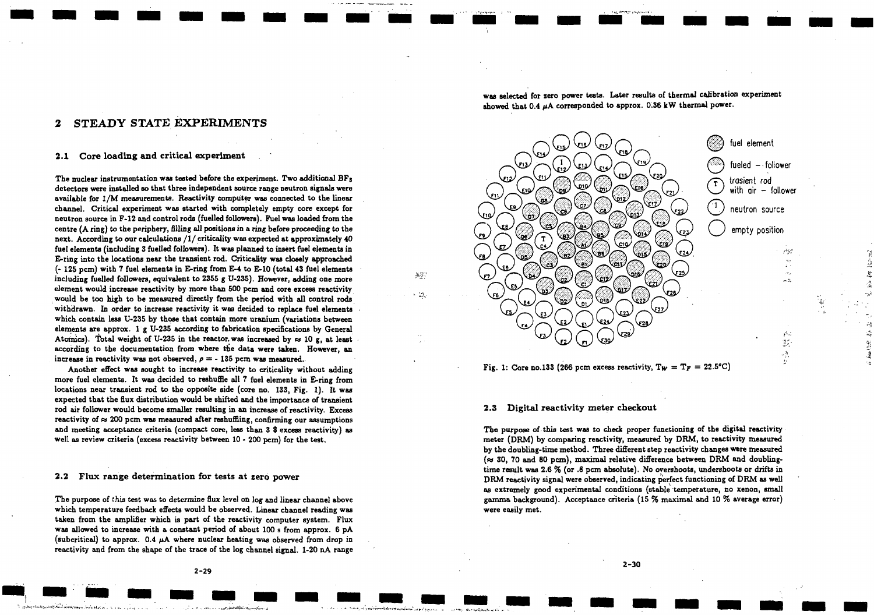## **2 STEADY STATE EXPERIMENTS**

#### **2.1 Core loading and critical experiment**

The nuclear instrumentation was tested before the experiment. Two additional BFs **detectors were installed so that three independent source range neutron signals were available for 1/M measurements. Reactivity computer was connected to the linear channel. Critical experiment was started with completely empty core except for neutron source in F-12 and control rods (fuelled followers). Fuel was loaded from the centre (A ring) to the periphery, filling all positions in a ring before proceeding to the next. According to our calculations /l / criticality was expected at approximately 40 fuel elements (including 3 fuelled followers). It was planned to insert fuel elements in E-ring into the locations near the transient rod. Criticality was closely approached (- 125 pcm) with 7 fuel elements in E-ring from E-4 to E-10 (total 43 fuel elements including fuelled followers, equivalent to 2355 g U-235). However, adding one more element would increase reactivity by more than 500 pcm and core excess reactivity would be too high to be measured directly from the period with all control rods withdrawn. In order to increase reactivity it was decided to replace fuel elements which contain less U-235 by those that contain more uranium (variations between elements are approx. 1 g U-235 according to fabrication specifications by General**  Atomics). Total weight of U-235 in the reactor, was increased by  $\approx 10$  g, at least **according to the documentation from where the data were taken. However, an**  increase in reactivity was not observed,  $\rho = -135$  pcm was measured.

**Another effect was sought to increase reactivity to criticality without adding more fuel elements. It was decided to reshuffle all 7 fuel elements in E-ring from locations near transient rod to the opposite side (core no. 133, Fig. 1). It was expected that the flux distribution would be shifted and the importance of transient rod air follower would become smaller resulting in an increase of reactivity. Excess reactivity of** *a* **200 pcm was measured after reshuffling, confirming our assumptions and meeting acceptance criteria (compact core, less than 3 \$ excess reactivity) as well as review criteria (excess reactivity between 10 - 200 pcm) for the test.** 

#### **2.2** Flux range determination for tests at zero power

**The purpose of this test was to determine flux level on log and linear channel above which temperature feedback effects would be observed. Linear channel reading was taken from the amplifier which is part of the reactivity computer system. Flux was allowed to increase with a constant period of about 100 s from approx. 6 pA**  (subcritical) to approx.  $0.4 \mu A$  where nuclear heating was observed from drop in **reactivity and from the shape of the trace of the log channel signal. 1-20 nA range**  **was selected for zero power tests. Later results of thermal calibration experiment**  showed that 0.4  $\mu$ A corresponded to approx. 0.36 kW thermal power.



**Fig. 1:** Core no.133 (266 pcm excess reactivity,  $T_w = T_r = 22.5^{\circ}C$ )

#### 2.3 Digital reactivity meter checkout

**The purpose of this test was to check proper functioning of the digital reactivity meter (DRM) by comparing reactivity, measured by DRM, to reactivity measured by the doubling-time method. Three different step reactivity changes were measured ( » 30, 70 and 80 pcm), maximal relative difference between DRM and doublingtime result was 2.6** *%* **(or .8 pcm absolute). No overshoots, undershoots or drifts in DRM reactivity signal were observed, indicating perfect functioning of DRM as well as extremely good experimental conditions (stable temperature, no xenon, small gamma background). Acceptance criteria (15** *%* **maximal and 10** *%* **average error) were easily met.** 

**2-30** 

 $\sim$   $\sim$ 

- iM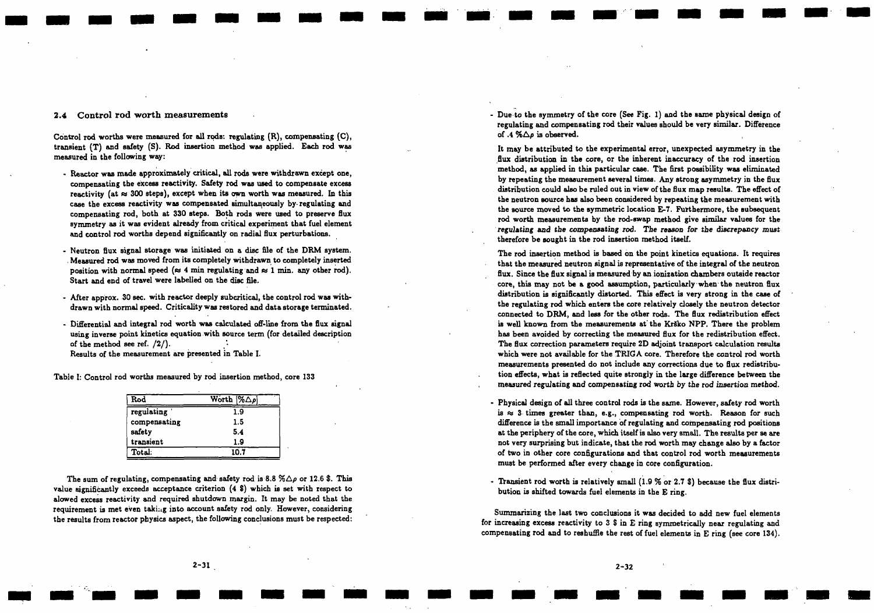**2.4 Control rod worth measurements** 

**Control rod worths were measured for all rods: regulating (R), compensating (C), transient (T) and safety (S). Rod insertion method was applied. Each rod was measured in the following way:** 

- **Reactor was made approximately critical, all rods were withdrawn except one, compensating the excess reactivity. Safety rod was used to compensate excess reactivity (at » 300 steps), except when its own worth was measured. In this case the excess reactivity was compensated simultaneously by-regulating and compensating rod, both at 330 steps. Both rods were used to preserve flux symmetry as it was evident already from critical experiment that fuel element and control rod worths depend significantly on radial flux perturbations.**
- **Neutron Sux signal storage was initiated on a disc file of the DRM system. Measured rod was moved from its completely withdrawn to completely inserted**  position with normal speed ( $\approx 4$  min regulating and  $\approx 1$  min. any other rod). **Start and end of travel were labelled on the disc file.**
- **After approx. 30 sec. with reactor deeply subcritical, the control rod was withdrawn with normal speed. Criticality was restored and data storage terminated.**
- **Differential and integral rod worth was calculated off-line from the flux signal using inverse point kinetics equation with source term (for detailed description of the method see ref. /2/). Results of the measurement are presented in Table I.**

**Table I: Control rod worths measured by rod insertion method, core 133** 

| Rod          | Worth $[\% \triangle \rho]$ |
|--------------|-----------------------------|
| regulating   | 1.9                         |
| compensating | 1.5                         |
| safety       | 5.4                         |
| transient    | 1.9                         |
| Total:       | 10.7                        |

The sum of regulating, compensating and safety rod is 8.8  $\%\triangle\rho$  or 12.6 \$. This **value significantly exceeds acceptance criterion (4 \$) which is set with respect to alowed excess reactivity and required shutdown margin. It may be noted that the requirement is met even takiug into account safety rod only. However, considering the results from reactor physics aspect, the following conclusions must be respected:**  **- Due to the symmetry of the core (See Fig. 1) and the same physical design of regulating and compensating rod their values should be very similar. Difference**  of  $.4\%$  $\triangle$ a is observed.

**It may be attributed to the experimental error, unexpected asymmetry in the flux distribution in the core, or the inherent inaccuracy of the rod insertion method, as applied in this particular case. The first possibility was eliminated by repeating the measurement several times. Any strong asymmetry in the flux distribution could also be ruled out in view of the flux map results. The effect of the neutron source has also been considered by repeating the measurement with the source moved to the symmetric location B-7. Furthermore, the subsequent rod worth measurements by the rod-swap method give similar values for the regulating and the compensating rod. The reason for the discrepancy must therefore be sought in the rod insertion method itself.** 

**The rod insertion method is based on the point kinetics equations. It requires that the measured neutron signal is representative of the integral of the neutron flux. Since the flux signal is measured by an ionization chambers outside reactor core, this may not be a good assumption, particularly when the neutron flux distribution is significantly distorted. This effect is very strong in the case of the regulating rod which enters the core relatively closely the neutron detector connected to DRM, and less for the other rods. The Sux redistribution effect**  is well known from the measurements at the Krško NPP. There the problem **has been avoided by correcting the measured flux for the redistribution effect. The flux correction parameters require 2D adjoint transport calculation results which were not available for the TRIGA core. Therefore the control rod worth measurements presented do not include any corrections due to flux redistribution effects, what is reflected quite strongly in the large difference between the measured regulating and compensating rod worth by the rod insertion method.** 

- **Physical design of all three control rods is the same. However, safety rod worth**  is  $\approx$  3 times greater than, e.g., compensating rod worth. Reason for such **difference is the small importance of regulating and compensating rod positions at the periphery of the core, which itself is also very small. The results per se are not very surprising but indicate, that the rod worth may change also by a factor of two in other core configurations and that control rod worth measurements must be performed after every change in core configuration.**
- **Transient rod worth is relatively small (1.9** *%* **or 2.7 \$) because the flux distribution is shifted towards fuel elements in the E ring.**

**Summarizing the last two conclusions it was decided to add new fuel elements for increasing excess reactivity to 3 \$ in E ring symmetrically near regulating and compensating rod and to reshuffle the rest of fuel elements in E ring (see core 134).**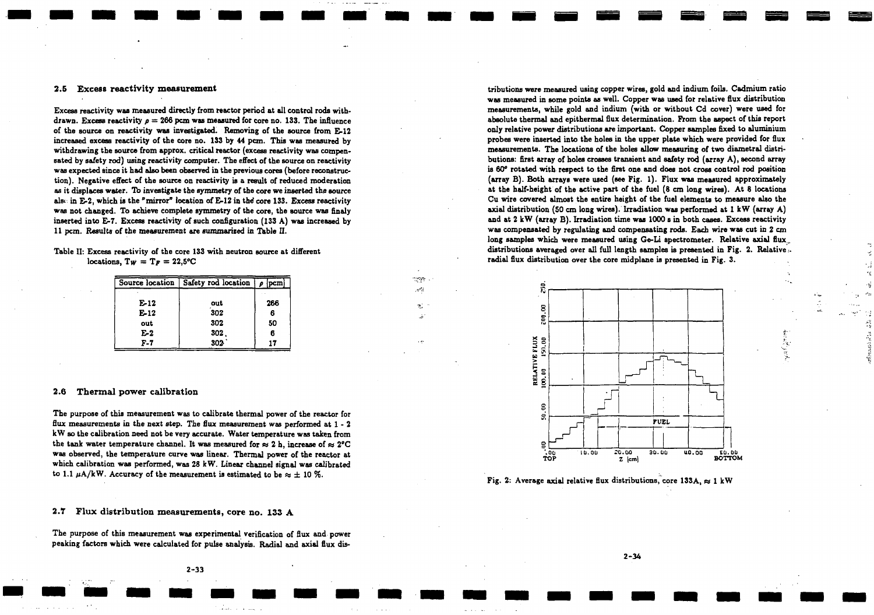#### **2.5 Excess reactivity measurement**

**Excess reactivity was measured directly from reactor period at all control rods with**drawn. Excess reactivity  $\rho = 266$  pcm was measured for core no. 133. The influence **of the source on reactivity was investigated. Removing of the source from E-12 increased excess reactivity of the core no. 133 by 44 pcm. This was measured by withdrawing the source from approx. critical reactor (excess reactivity was compensated by safety rod) using reactivity computer. The effect of the source on reactivity was expected since it had also been observed in the previous cores (before reconstruction). Negative effect of the source on reactivity is a result of reduced moderation as it displaces water. To investigate the symmetry of the core we inserted the source**  alse in E-2, which is the "mirror" location of E-12 in the core 133. Excess reactivity **was not changed. To achieve complete symmetry of the core, the source was finely inserted into E-7. Excess reactivity of such configuration (133 A) was increased by 11 pcm. Results of the measurement are summarized in Table II.** 

**Table II: Excess reactivity of the core 133 with neutron source at different**   $\text{locations, } \text{T}w = \text{T}_F = 22.5^{\circ}\text{C}$ 

| Source location | Safety rod location | pcm<br>ρ |
|-----------------|---------------------|----------|
| $E-12$          | out                 | 266      |
| E-12            | 302                 | 6        |
| out             | 302                 | 50       |
| $E-2$           | 302.                | 6        |
| F-7             | 302                 | 17       |

ting gay ot S

#### 2.6 Thermal power calibration

**The purpose of this measurement was to calibrate thermal power of the reactor for flux measurements in the next step. The flux measurement was performed at 1 - 2 kW so the calibration need not be very accurate. Water temperature was taken from**  the tank water temperature channel. It was measured for  $\approx 2$  h, increase of  $\approx 2^{\circ}C$ **was observed, the temperature curve was linear. Thermal power of the reactor at which calibration was performed, was 28 kW. Linear channel signal was calibrated**  to 1.1  $\mu$ A/kW. Accuracy of the measurement is estimated to be  $\approx \pm 10$  %.

**2.7 Flu x distribution measurements, core no . 133 A** 

**The purpose of this measurement was experimental verification of flux and power peaking factors which were calculated for pulse analysis. Radial and axial flux dis-**

**2-33** 

**tributions were measured using copper wires, gold and indium foils. Cadmium ratio was measured in some points as well. Copper was used for relative flux distribution measurements, while gold and indium (with or without Cd cover) were used for absolute thermal and epithermal flux determination. From the aspect of this report only relative power distributions are important. Copper samples fixed to aluminium probes were inserted into the holes in the upper plate which were provided for flux measurements. The locations of the holes allow measuring of two diametral distributions: first array of holes crosses transient and safety rod (array A), second array is 60° rotated with respect to the first one and does not cross control rod position (array B). Both arrays were used (see Fig. 1). Flux was measured approximately at the half-height of the active part of the fuel (8 cm long wires). At 8 locations Cu wire covered almost the entire height of the fuel elements to measure also the axial distribution (50 cm long wires). Irradiation was performed at 1 kW (array A) and at 2 kW (array B). Irradiation time was 1000 s in both cases. Excess reactivity was compensated by regulating and compensating rods. Each wire was cut in 2 cm long samples which were measured using Ge-Li spectrometer. Relative axial flux, distributions averaged over all full length samples is presented in Fig. 2. Relative***,.*  **radial flux distribution over the core midplane is presented in Fig. 3.** 



Fig. 2: Average axial relative flux distributions, core  $133A \approx 1$  kW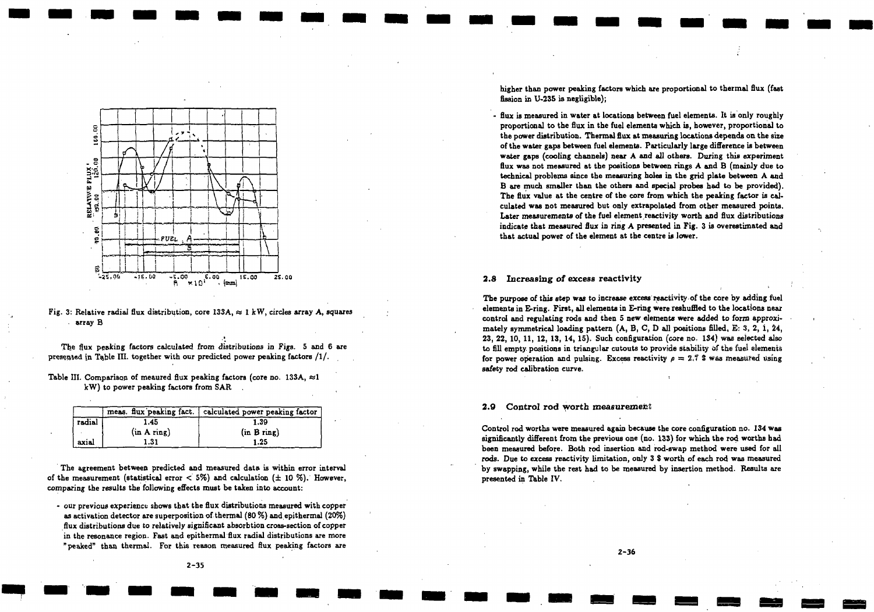

Fig. 3: Relative radial flux distribution, core 133A,  $\approx$  1 kW, circles array A, squares **• array B** 

**The flux peaking factors calculated from distributions in Figs. 5 and 6 are presented in Table III. together with our predicted power peaking factors /l/ .** 

Table III. Comparison of meaured flux peaking factors (core no. 133A,  $\approx$ 1 **kW) to power peaking factors from SAR** 

|        |             | meas. flux peaking fact.   calculated power peaking factor |
|--------|-------------|------------------------------------------------------------|
| radial | 1.45        | 1.39                                                       |
|        | (in A ring) | (in B ring)                                                |
| axial  | 1.31        | 1.25                                                       |

**The agreement between predicted and measured data is within error interval of the measurement (statistical error < 5%) and calculation (± 10** *%).* **However, comparing the results the following effects must be taken into account:** 

**- our previous experience shows that the flux distributions measured with copper as activation detector are superposition of thermal (80 %) and epithermal (20%) flux distributions due to relatively significant absorbtion cross-section of copper in the resonance region. Fast and epithermal flux radial distributions are more "peaked" than thermal. For this reason measured flux peaking factors are**  **higher than power peaking factors which axe proportional to thermal flux (fast fission in U-235 is negligible);** 

**flux is measured in water at locations between fuel elements. It is only roughly proportional to the flux in the fuel elements which is, however, proportional to the power distribution. Thermal flux at measuring locations depends on the size of the water gaps between fuel elements. Particularly large difference is between water gaps (cooling channels) near A and all others. During this experiment flux was not measured at the positions between rings A and B (mainly due to technical problems since the measuring holes in the grid plate between A and B are much smaller than the others and special probes had to be provided). The flux value at the centre of the core from which the peaking factor is calculated was not measured but only extrapolated from other measured points. Later measurements of the fuel element reactivity worth and flux distributions indicate that measured flux in ring A presented in Fig. 3 is overestimated and that actual power of the element at the centre is lower.** 

#### **2.8 Increasing of excess reactivity**

**The purpose of this step was to increase excess reactivity of the core by adding fuel elements in E-ring. First, all elements in E-ring were reshuffled to the locations near control and regulating rods and then 5 new elements were added to form approximately symmetrical loading pattern (A, B, C, D all positions filled, E: 3, 2, 1, 24, 23, 22, 10, 11, 12, 13, 14, 15). Such configuration (core no, 134) was selected also to fill empty positions in triangular cutouts to provide stability of the fuel elements**  for power operation and pulsing. Excess reactivity  $\rho = 2.7$  \$ was measured using **safety rod calibration curve.** 

#### **2.9 Control rod worth** *measurement*

**Control rod worths were measured again because the core configuration no. 134 was significantly different from the previous one (no. 133) for which the rod worths had been measured before. Both rod insertion and rod-swap method were used for all rods. Due to excess reactivity limitation, only 3 \$ worth of each rod was measured by swapping, while the rest had to be measured by insertion method. Results are presented in Table IV.**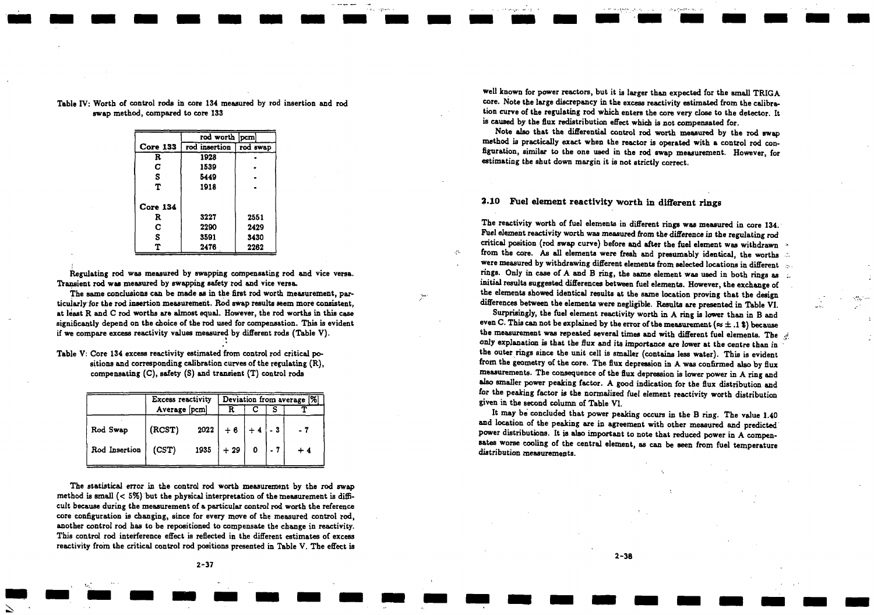|                 | rod worth pcm |          |
|-----------------|---------------|----------|
| <b>Core 133</b> | rod insertion | rod swap |
| R               | 1928          |          |
| C               | 1539          |          |
| S               | 5449          |          |
| T               | 1918          |          |
| Core 134        |               |          |
| R               | 3227          | 2551     |
| С               | 2290          | 2429     |
| S               | 3591          | 3430     |
| т               | 2476          | 2262     |

Table IV: Worth of control rods in core 134 measured by rod insertion and rod swap method, compared to core 133

Regulating rod was measured by swapping compensating rod and vice versa. Transient rod was measured by swapping safety rod and vice versa.

The same conclusions can be made as in the first rod worth measurement, particularly for the rod insertion measurement. Rod swap results seem more consistent, at least R and C rod worths are almost equal. However, the rod worths in this case significantly depend on the choice of the rod used for compensation. This is evident if we compare excess reactivity values measured by different rods (Table V).

Table V: Core 134 excess reactivity estimated from control rod critical positions and corresponding calibration curves of the regulating (R), compensating (C), safety (S) and transient (T) control rods

|               | <b>Excess reactivity</b> |      |             | Deviation from average [%] |      |
|---------------|--------------------------|------|-------------|----------------------------|------|
|               | Average [pcm]            |      |             |                            |      |
| Rod Swap      | (RCST)                   | 2022 | $+6$        | $-3$                       |      |
| Rod Insertion | (CST)                    |      | $1935$ + 29 |                            | $+4$ |
|               |                          |      |             |                            |      |

The statistical error in the control rod worth measurement by the rod swap method is small  $(< 5\%)$  but the physical interpretation of the measurement is difficult because during the measurement of a particular control rod worth the reference core configuration is changing, since for every move of the measured control rod, another control rod has to be repositioned to compensate the change in reactivity. This control rod interference effect is reflected in the different estimates of excess reactivity from the critical control rod positions presented in Table V. The effect is

well known for power reactors, but it is larger than expected for the small TRIGA core. Note the large discrepancy in the excess reactivity estimated from the calibration curve of the regulating rod which enters the core very close to the detector. It is caused by the flux redistribution effect which is not compensated for.

Note also that the differential control rod worth measured by the rod swap method is practically exact when the reactor is operated with a control rod configuration, similar to the one used in the rod swap measurement. However, for estimating the shut down margin it is not strictly correct.

#### 2.10 Fuel element reactivity worth in different rings

The reactivity worth of fuel elements in different rings was measured in core 134. Fuel element reactivity worth was measured *horn* the difference in the regulating rod critical position (rod swap curve) before and after the fuel element was withdrawn from the core. As all elements were fresh and presumably identical, the worths were measured by withdrawing different elements from selected locations in different  $\sim$ rings. Only in case of A and B ring, the same element was used in both rings as : initial results suggested differences between fuel elements. However, the exchange of the elements showed identical results at the same location proving that the design differences between the elements were negligible. Results are presented in Table VI.

Surprisingly, the fuel element reactivity worth in A ring is lower than in B and even C. This can not be explained by the error of the measurement  $(\approx \pm .1 \text{ } \text{*})$  because the measurement was repeated several times and with different fuel elements. The  $\phi$ only explanation is that the flux and its importance are lower at the centre than in the outer rings since the unit cell is smaller (contains less water). This is evident from the geometry of the core. The flux depression in A was confirmed also by flux measurements. The consequence of the flux depression is lower power in A ring and also smaller power peaking factor. A good indication for the flux distribution and for the peaking factor is the normalised fuel element reactivity worth distribution given in the second column of Table VI.

It may be concluded that power peaking occurs in the B ring. The value 1.40 and location of the peaking are in agreement with other measured and predicted power distributions. It is also important to note that reduced power in A compensates worse cooling of the central element, as can be seen from fuel temperature distribution measurements.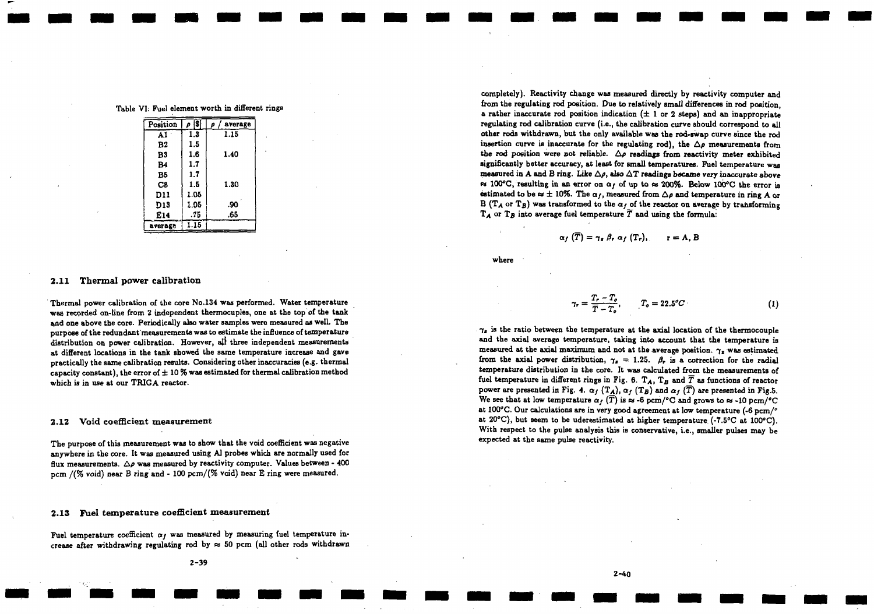|  |  |  |  |  |  | Table VI: Fuel element worth in different rings |  |
|--|--|--|--|--|--|-------------------------------------------------|--|
|--|--|--|--|--|--|-------------------------------------------------|--|

| Position       | \$ا م | average<br>p |
|----------------|-------|--------------|
| ${\bf A1}$     | 1.3   | 1.15         |
| B <sub>2</sub> | 1.5   |              |
| B3             | 1.6   | 1.40         |
| B4             | 1.7   |              |
| B <sub>5</sub> | 1.7   |              |
| CВ             | 1.5   | 1.30         |
| D11            | 1.05  |              |
| D13            | 1.05  | .90          |
| E14            | .75   | .65          |
| average        | 1.15  |              |

#### 2.11 Thermal power calibration

Thermal power calibration of the core No.134 was performed. Water temperature was recorded on-line from 2 independent thermocuples, one at the top of the tank and one above the core. Periodically also water samples were measured as well. The purpose of the redundant measurements was to estimate the influence of temperature distribution on power calibration. However, all three independent messurements at different locations in the tank showed the same temperature increase and gave practically the same calibration results. Considering other inaccuracies (e.g. thermal capacity constant), the error of  $\pm$  10 % was estimated for thermal calibration method which is in use at our TRIGA reactor.

#### 2.12 Void coefficient measurement

The purpose of this measurement was to show that the void coefficient was negative anywhere in the core. It was measured using Al probes which are normally used for flux measurements.  $\Delta\rho$  was measured by reactivity computer. Values between - 400 pcm */(%* void) near B ring and - 100 pcm/(% void) near E ring were measured.

#### 2.13 Fuel temperature coefficient measurement

Fuel temperature coefficient  $\alpha$ , was measured by measuring fuel temperature increase after withdrawing regulating rod by  $\approx$  50 pcm (all other rods withdrawn

2-39

completely). Reactivity change was measured directly by reactivity computer and from the regulating rod position. Due to relatively small differences in rod position, a rather inaccurate rod position indication  $(\pm 1$  or 2 steps) and an inappropriate regulating rod calibration curve (i.e., the calibration curve should correspond to all other rods withdrawn, but the only available was the rod-swap curve since the rod insertion curve is inaccurate for the regulating rod), the  $\Delta\rho$  measurements from the rod position were not reliable.  $\Delta\rho$  readings from reactivity meter exhibited significantly better accuracy, at least for small temperatures. Fuel temperature was measured in A and B ring. Like  $\Delta \rho$ , also  $\Delta T$  readings became very inaccurate above  $\approx 100^{\circ}$ C, resulting in an error on  $\alpha$ , of up to  $\approx 200\%$ . Below 100°C the error is estimated to be  $\approx \pm 10\%$ . The  $\alpha$ , measured from  $\Delta \rho$  and temperature in ring A or B ( $T_A$  or  $T_B$ ) was transformed to the  $\alpha_f$  of the reactor on average by transforming  $T_A$  or  $T_B$  into average fuel temperature  $\overline{T}$  and using the formula:

$$
\alpha_f(\overline{T}) = \gamma_s \beta_r \alpha_f(T_r), \qquad r = A, B
$$

where

$$
\gamma_r = \frac{T_r - T_o}{\overline{T} - T_s}, \qquad T_o = 22.5^{\circ}C \tag{1}
$$

*1"* is the ratio between the temperature at the axial location of the thermocouple and the axial average temperature, taking into account that the temperature is measured at the axial maximum and not at the average position.  $\gamma$ . was estimated from the axial power distribution,  $\gamma_s = 1.25$ .  $\beta_s$  is a correction for the radial temperature distribution in the core. It was calculated from the measurements of fuel temperature in different rings in Fig. 6.  $T_A$ ,  $T_B$  and  $\overline{T}$  as functions of reactor power are presented in Fig. 4.  $\alpha_i$  (T<sub>A</sub>),  $\alpha_i$  (T<sub>B</sub>) and  $\alpha_i$  (T) are presented in Fig.5. We see that at low temperature  $\alpha_f$  (T) is  $\approx$  -6 pcm/°C and grows to  $\approx$  -10 pcm/°C at 100°C. Our calculations are in very good agreement at low temperature (-6 pcm/° at 20°C), but seem to be uderestimated at higher temperature  $(-7.5^{\circ}C \text{ at } 100^{\circ}C)$ . With respect to the pulse analysis this is conservative, i.e., smaller pulses may be expected at the same pulse reactivity.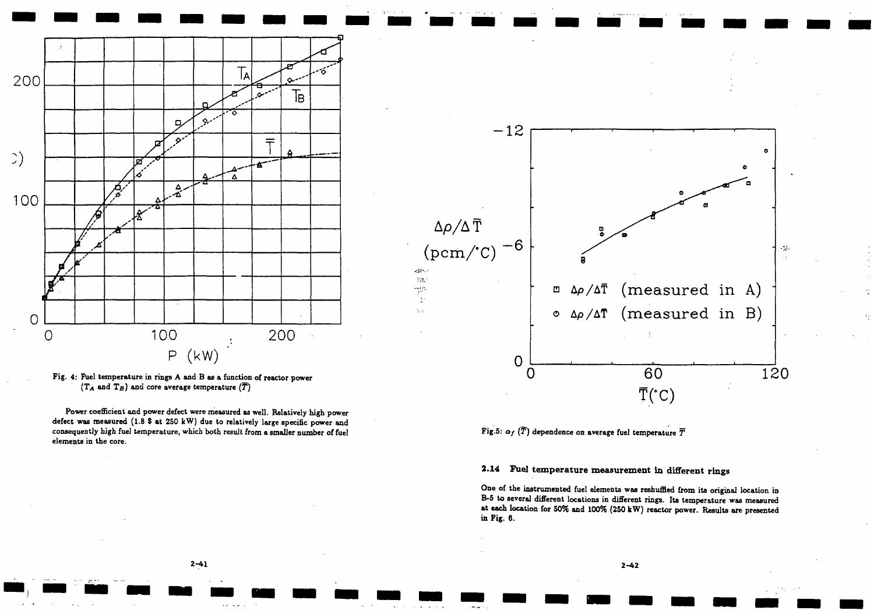

Fig. 4: Fuel temperature in rings A and B as a function of reactor power  $(T_A \text{ and } T_B)$  and core average temperature  $(\overline{T})$ 

Power coefficient and power defect were measured as well. Relatively high power defect was measured (1.8 \$ at 250 kW) due to relatively large specific power and consequently high fuel temperature, which both result from a smaller number of fuel elements in the core.



Fig.5:  $\alpha_f$  ( $\overline{T}$ ) dependence on average fuel temperature  $\overline{T}$ 

## **2.14 Fuel temperature measurement in** different **rings**

One of the instrumented fuel elements **was** reshuffled from its original location in B-5 to several different locations in different rings. Its temperature was measured at each location for 50% and 100% (250 kW) reactor power. Results are presented in Fig. 6.

**2-42**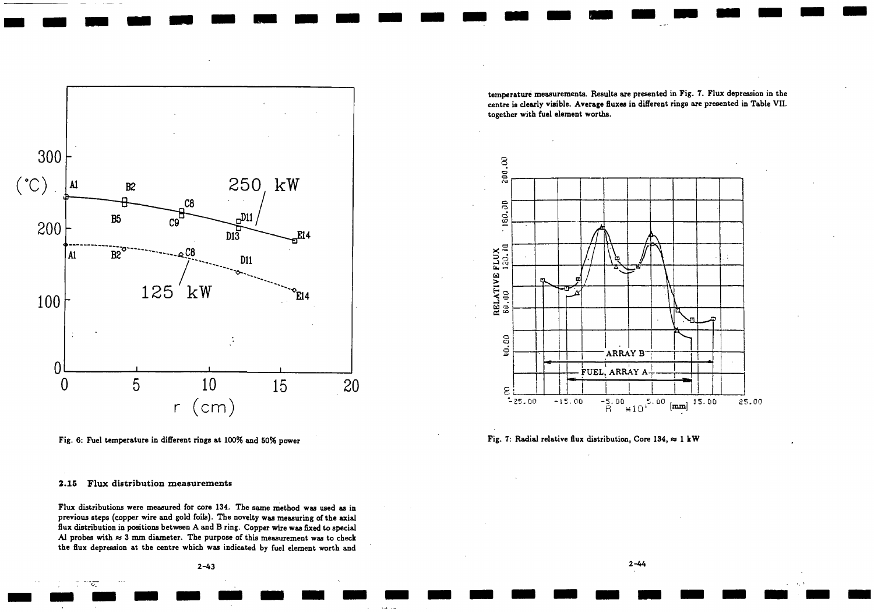

**Fig. 6: Fuel temperature in different rings at 100% and 50% power** 

2.15 Flux distribution measurements

**Flux distributions were measured for core 134. The same method was used as in previous steps (copper wire and gold foils). The novelty was measuring of the axial flux distribution in positions between A and B ring. Copper wire was fixed to special Al probes with » 3 mm diameter. The purpose of this measurement was to check the flux depression at the centre which was indicated by fuel element worth and** 







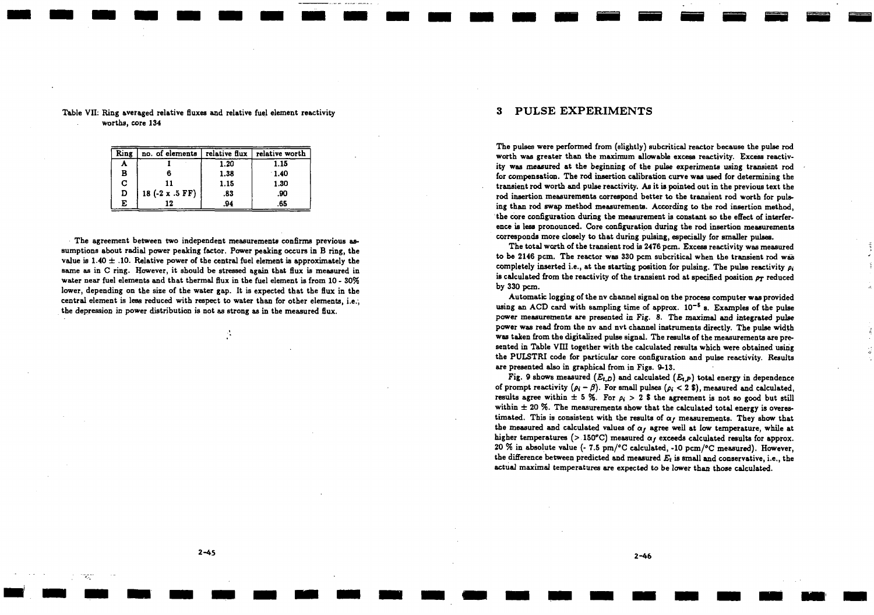| Ring | no. of elements                | relative flux | relative worth |
|------|--------------------------------|---------------|----------------|
|      |                                | 1.20          | 1.15           |
| в    |                                | 1.38          | 1.40           |
| С    | 11                             | 1.15          | 1.30           |
| D    | 18 $(-2 \times .5 \text{ FF})$ | .83           | .90            |
| Г.   | 12                             | .94           | .65            |

**Table VII: Ring averaged relative fluxes and relative fuel element reactivity worths, core 134** 

**The agreement between two independent measurements confirms previous assumptions about radial power peaking factor. Power peaking occurs in B ring, the**  value is  $1.40 \pm .10$ . Relative power of the central fuel element is approximately the **same as in C ring. However, it should be stressed again that flux is measured in water near fuel elements and that thermal flux in the fuel element is from 10 - 30% lower, depending on the size of the water gap. It is expected that the flux in the central element is less reduced with respect to water than for other elements, i.e., the depression in power distribution is not as strong as in the measured flux.** 

 $\mathcal{A}$ 

## **3 PULSE EXPERIMENTS**

**The pulses were performed from (slightly) subcritical reactor because the pulse rod worth was greater than the maximum allowable excess reactivity. Excess reactivity was measured at the beginning of the pulse experiments using transient rod for compensation. The rod insertion calibration curve was used for determining the transient rod worth and pulse reactivity. As it is pointed out in the previous text the rod insertion measurements correspond better to the transient rod worth for pulsing than rod swap method measurements. According to the rod insertion method, the core configuration during the measurement is constant so the effect of interference is less pronounced. Core configuration during the rod insertion measurements corresponds more closely to that during pulsing, especially for smaller pulses.** 

**The total worth of the transient rod is 2476 pcm. Excess reactivity was measured to be 2146 pcm. The reactor was 330 pcm subcritical when the transient rod was**  completely inserted i.e., at the starting position for pulsing. The pulse reactivity  $\rho_i$ **is calculated from the reactivity of the transient rod at specified position** *pr* **reduced by 330 pcm.** 

**Automatic logging of the nv channel signal on the process computer was provided**  using an ACD card with sampling time of approx.  $10^{-5}$  s. Examples of the pulse **power measurements are presented in Fig. 8. The maximal and integrated pulse power was read from the nv and nvt channel instruments directly. The pulse width was taken from the digitalized pulse signal. The results of the measurements are presented in Table VIII together with the calculated results which were obtained using the PULSTRI code for particular core configuration and pulse reactivity. Results are presented also in graphical from in Figs. 9-13.** 

Fig. 9 shows measured  $(E_{t,D})$  and calculated  $(E_{t,P})$  total energy in dependence of prompt reactivity  $(\rho_i - \beta)$ . For small pulses  $(\rho_i < 2 \text{ s})$ , measured and calculated, results agree within  $\pm$  5 %. For  $\rho_i$  > 2 \$ the agreement is not so good but still **within ± 20** *%.* **The measurements show that the calculated total energy is overes**timated. This is consistent with the results of  $\alpha$ , measurements. They show that the measured and calculated values of  $\alpha$ <sup>*l*</sup> agree well at low temperature, while at higher temperatures ( $> 150^{\circ}$ C) measured  $\alpha$ , exceeds calculated results for approx. **20** *%* **in absolute value (- 7.5 pm/'C calculated, -10 pcm/°C measured). However,**  the difference between predicted and measured  $E_t$  is small and conservative, i.e., the **actual maximal temperatures are expected to be lower than those calculated.**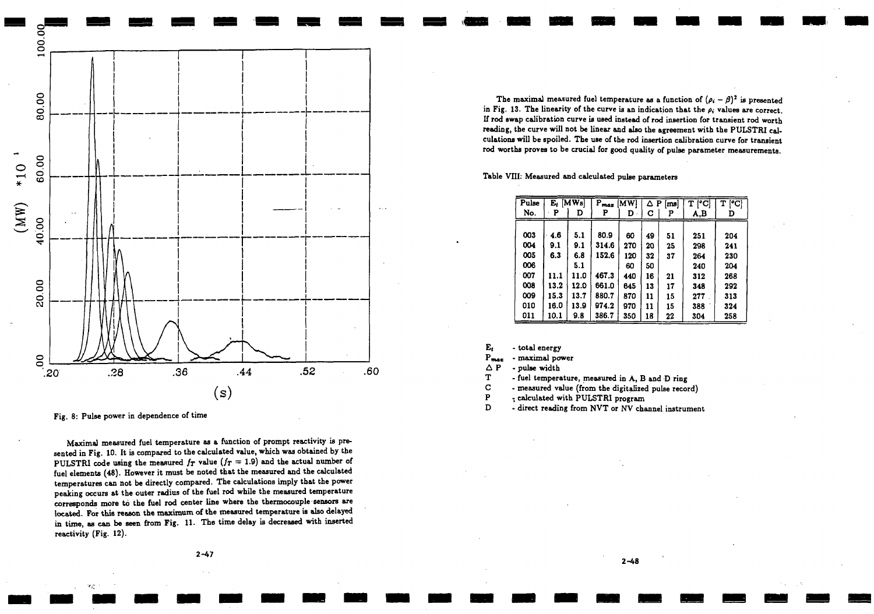

**Fig. 8: Pulse power in dependence of time** 

**Maximal measured fuel temperature as a function of prompt reactivity is presented in Fig. 10. It is compared to the calculated value, which was obtained by the**  PULSTRI code using the measured  $f_T$  value ( $f_T = 1.9$ ) and the actual number of **fuel elements (48). However it must be noted that the measured and the calculated temperatures can not be directly compared. The calculations imply that the power peaking occurs at the outer radius of the fuel rod while the measured temperature corresponds more to the fuel rod center line where the thermocouple sensors are located. For this reason the maximum of the measured temperature is also delayed in time, as can be seen from Fig. 11. The time delay is decreased with inserted reactivity (Fig. 12).** 

The maximal measured fuel temperature as a function of  $(\rho_i - \beta)^2$  is presented in Fig. 13. The linearity of the curve is an indication that the  $\rho_i$  values are correct. **If rod swap calibration curve is used instead of rod insertion for transient rod worth reading, the curve will not be linear and also the agreement with the PULSTRI calculations will be spoiled. The use of the rod insertion calibration curve for transient rod worths proves to be crucial for good quality of pulse parameter measurements.** 

**Table VIII: Measured and calculated pulse parameters** 

| Pulse |      | $E_t$ [MWs] | $\overline{P}_{max}$ | (MW) | ΔР | ms | l°Cl<br>т | °C <br>т |
|-------|------|-------------|----------------------|------|----|----|-----------|----------|
| No.   | Р    | D           | P                    | D    | С  | Р  | A.B       | D        |
|       |      |             |                      |      |    |    |           |          |
| 003   | 4.6  | 5.1         | 80.9                 | 60   | 49 | 51 | 251       | 204      |
| 004   | 9.1  | 9.1         | 314.6                | 270  | 20 | 25 | 298       | 241      |
| 005   | 6.3  | 6.8         | 152.6                | 120  | 32 | 37 | 264       | 230      |
| 006   |      | 5.1         |                      | 60   | 50 |    | 240       | 204      |
| 007   | 11.1 | 11.0        | 467.3                | 440  | 16 | 21 | 312       | 268      |
| 008   | 13.2 | 12.0        | 661.0                | 645  | 13 | 17 | 348       | 292      |
| 009   | 15.3 | 13.7        | 880.7                | 870  | 11 | 15 | 277       | 313      |
| 010   | 16.0 | 13.9        | 974.2                | 970  | 11 | 15 | 388       | 324      |
| 011   | 10.1 | 9.8         | 386.7                | 350  | 18 | 22 | 304       | 258      |

**E( - total energy** 

**PIMI - maximal power** 

**A P - pulse width** 

**T - fuel temperature, measured in A, B and D ring** 

**C - measured value (from the digitalized pulse record)** 

**P**  $\frac{1}{2}$  calculated with PULSTRI program<br> **D**  $\frac{1}{2}$  direct reading from NVT or NV cha

**D - direct reading from NVT or NV channel instrument** 

2-47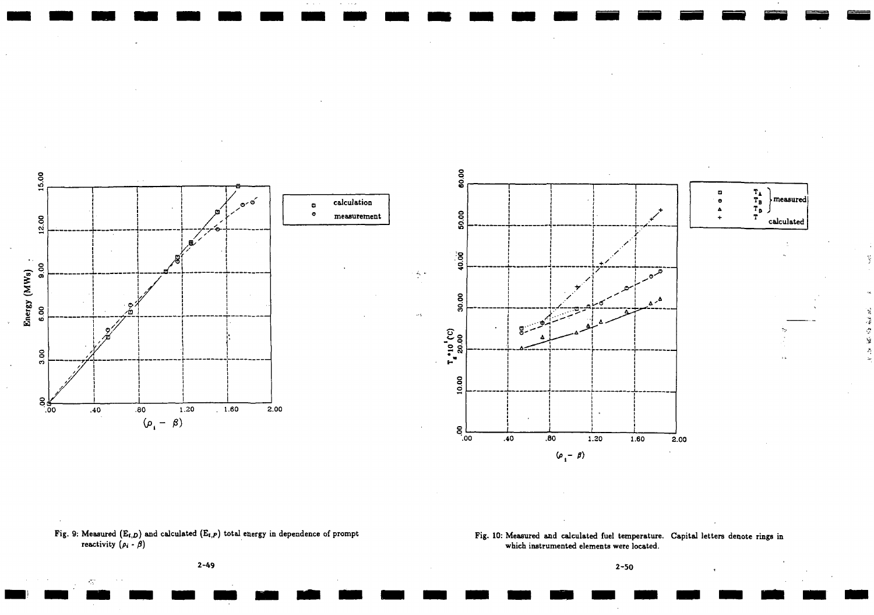



 $\frac{\partial \mathbf{y}}{\partial \mathbf{y}}$ ý



**Fig. 10: Measured and calculated fuel temperature. Capital letters denote rings in which instrumented elements were located.** 

## **2-49**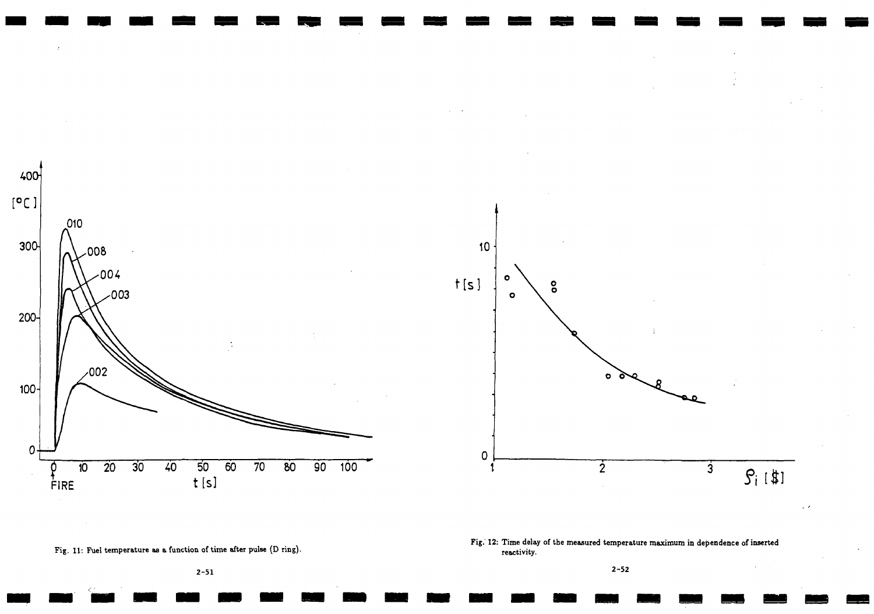

**Fig. 12: Time delay of the measured temperature maximum in dependence of inserted reactivity.** 

**Fig. 11: Fuel temperature as a function of time after pulse (D ring).** 

**2-51**